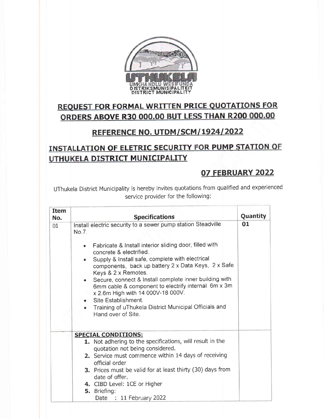

# **REQUEST FOR FORMAL WRITTEN PRICE QUOTATIONS FOR** ORDERS ABOVE R30 000.00 BUT LESS THAN R200 000.00

### REFERENCE NO. UTDM/SCM / 1924/ 2022

## **INSTALLATION OF ELETRIC SECURITY FOR PUMP STATION OF** UTHUKELA DISTRICT MUNICIPALITY

### 07 FEBRUARY 2022

UThukela District Municipality is hereby invites quotations from qualified and experienced seruice provider for the following:

| <b>Item</b><br>No. | <b>Specifications</b>                                                                                                                                                                                                                                                                                                                                                                                                                                                                                                                                                             | <b>Quantity</b> |
|--------------------|-----------------------------------------------------------------------------------------------------------------------------------------------------------------------------------------------------------------------------------------------------------------------------------------------------------------------------------------------------------------------------------------------------------------------------------------------------------------------------------------------------------------------------------------------------------------------------------|-----------------|
| 01                 | Install electric security to a sewer pump station Steadville<br>No.7.<br>Fabricate & Install interior sliding door, filled with<br>$\bullet$<br>concrete & electrified.<br>Supply & Install safe, complete with electrical<br>components, back up battery 2 x Data Keys, 2 x Safe<br>Keys & 2 x Remotes.<br>Secure, connect & Install complete inner building with<br>$\bullet$<br>6mm cable & component to electrify internal 6m x 3m<br>x 2.6m High with 14 000V-18 000V.<br>Site Establishment.<br>Training of uThukela District Municipal Officials and<br>Hand over of Site. | 01              |
|                    | <b>SPECIAL CONDITIONS:</b><br>1. Not adhering to the specifications, will result in the<br>quotation not being considered.<br>2. Service must commence within 14 days of receiving<br>official order<br>3. Prices must be valid for at least thirty (30) days from<br>date of offer.<br>4. CIBD Level: 1CE or Higher<br>5. Briefing:<br>Date : 11 February 2022                                                                                                                                                                                                                   |                 |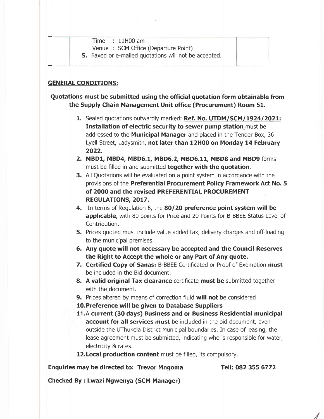| Time | $: 11H00$ am |  |
|------|--------------|--|

Venue : SCM Office (Departure Point)

5. Faxed or e-mailed quotations will not be accepted.

#### GENERAL CONDITIONS:

#### Quotations must be submitted using the official quotation form obtainable from the Supply Chain Management Unit office (Procurement) Room 51.

- 1. Sealed quotations outwardly marked: Ref. No. UTDM/SCM/1924/2021: Installation of electric security to sewer pump station\_must be addressed to the **Municipal Manager** and placed in the Tender Box, 36 Lyell Street, Ladysmith, not later than 12H00 on Monday 14 February 2022.
- 2. MBD1, MBD4, MBD6.1, MBD6.2, M8D6.11, MBDS and MBD9 forms must be filled in and submitted **together with the quotation**.
- 3. All Quotations will be evaluated on a point system in accordance with the provisions of the Preferential Procurement Policy Framework Act No. 5 of 2OOO and the revised PREFERENTIAL PROCUREMENT REGULATIONS, 2017.
- 4. In terms of Requiation 6, the 80/20 preference point system will be applicable, with 80 points for Price and 20 Points for B-BBEE Status Level of Contribution.
- 5. Prices quoted must include value added tax, delivery charges and off-loading to the municipal premises.
- 5. Any quote will not necessary be accepted and the Council Reserves the Right to Accept the whole or any Part of Any quote.
- 7. Certified Copy of Sanas: B-BBEE Certificated or Proof of Exemption must be included in the Bid document.
- 8. A valid original Tax clearance certificate must be submitted together with the document.
- 9. Prices altered by means of correction fluid will not be considered
- l0.Preference will be given to Database Suppliers
- 11.A current (30 days) Business and or Business Residential municipal account for all services must be included in the bid document, even outside the UThukela District Municipal boundaries. In case of leasing, the lease agreement must be submitted, indicating who is responsible for water, electricity & rates.
- 12. Local production content must be filled, its compulsory.

Enquiries may be directed to: Trevor Mngoma

Tefl: 082 355 6772

/

Checked By: Lwazi Ngwenya (SCM Manager)